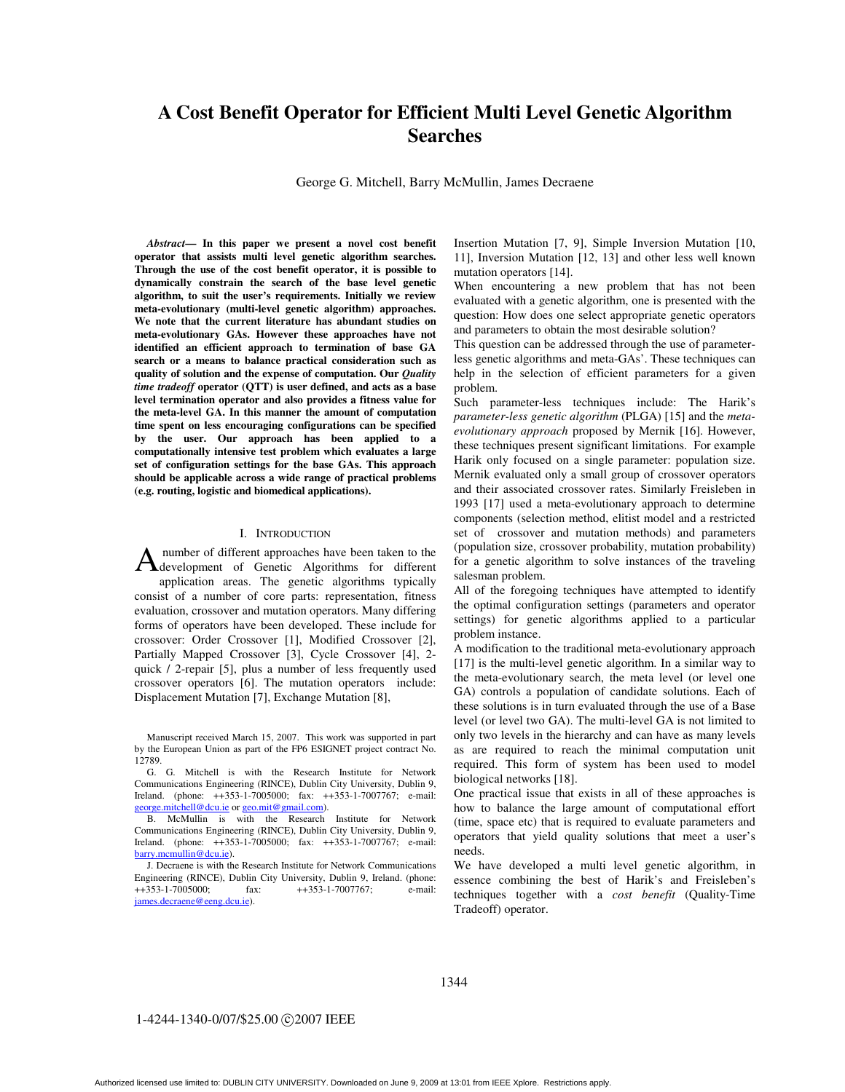# **A Cost Benefit Operator for Efficient Multi Level Genetic Algorithm Searches**

George G. Mitchell, Barry McMullin, James Decraene

*Abstract***— In this paper we present a novel cost benefit operator that assists multi level genetic algorithm searches. Through the use of the cost benefit operator, it is possible to dynamically constrain the search of the base level genetic algorithm, to suit the user's requirements. Initially we review meta-evolutionary (multi-level genetic algorithm) approaches. We note that the current literature has abundant studies on meta-evolutionary GAs. However these approaches have not identified an efficient approach to termination of base GA search or a means to balance practical consideration such as quality of solution and the expense of computation. Our** *Quality time tradeoff* **operator (QTT) is user defined, and acts as a base level termination operator and also provides a fitness value for the meta-level GA. In this manner the amount of computation time spent on less encouraging configurations can be specified by the user. Our approach has been applied to a computationally intensive test problem which evaluates a large set of configuration settings for the base GAs. This approach should be applicable across a wide range of practical problems (e.g. routing, logistic and biomedical applications).** 

#### I. INTRODUCTION

 number of different approaches have been taken to the A number of different approaches have been taken to the<br>development of Genetic Algorithms for different application areas. The genetic algorithms typically consist of a number of core parts: representation, fitness evaluation, crossover and mutation operators. Many differing forms of operators have been developed. These include for crossover: Order Crossover [1], Modified Crossover [2], Partially Mapped Crossover [3], Cycle Crossover [4], 2 quick / 2-repair [5], plus a number of less frequently used crossover operators [6]. The mutation operators include: Displacement Mutation [7], Exchange Mutation [8],

Insertion Mutation [7, 9], Simple Inversion Mutation [10, 11], Inversion Mutation [12, 13] and other less well known mutation operators [14].

When encountering a new problem that has not been evaluated with a genetic algorithm, one is presented with the question: How does one select appropriate genetic operators and parameters to obtain the most desirable solution?

This question can be addressed through the use of parameterless genetic algorithms and meta-GAs'. These techniques can help in the selection of efficient parameters for a given problem.

Such parameter-less techniques include: The Harik's *parameter-less genetic algorithm* (PLGA) [15] and the *metaevolutionary approach* proposed by Mernik [16]. However, these techniques present significant limitations. For example Harik only focused on a single parameter: population size. Mernik evaluated only a small group of crossover operators and their associated crossover rates. Similarly Freisleben in 1993 [17] used a meta-evolutionary approach to determine components (selection method, elitist model and a restricted set of crossover and mutation methods) and parameters (population size, crossover probability, mutation probability) for a genetic algorithm to solve instances of the traveling salesman problem.

All of the foregoing techniques have attempted to identify the optimal configuration settings (parameters and operator settings) for genetic algorithms applied to a particular problem instance.

A modification to the traditional meta-evolutionary approach [17] is the multi-level genetic algorithm. In a similar way to the meta-evolutionary search, the meta level (or level one GA) controls a population of candidate solutions. Each of these solutions is in turn evaluated through the use of a Base level (or level two GA). The multi-level GA is not limited to only two levels in the hierarchy and can have as many levels as are required to reach the minimal computation unit required. This form of system has been used to model biological networks [18].

One practical issue that exists in all of these approaches is how to balance the large amount of computational effort (time, space etc) that is required to evaluate parameters and operators that yield quality solutions that meet a user's needs.

We have developed a multi level genetic algorithm, in essence combining the best of Harik's and Freisleben's techniques together with a *cost benefit* (Quality-Time Tradeoff) operator.

1344

## 1-4244-1340-0/07/\$25.00 © 2007 IEEE

Manuscript received March 15, 2007. This work was supported in part by the European Union as part of the FP6 ESIGNET project contract No. 12789.

G. G. Mitchell is with the Research Institute for Network Communications Engineering (RINCE), Dublin City University, Dublin 9, Ireland. (phone: ++353-1-7005000; fax: ++353-1-7007767; e-mail: george.mitchell@dcu.ie or geo.mit@gmail.com).

B. McMullin is with the Research Institute for Network Communications Engineering (RINCE), Dublin City University, Dublin 9, Ireland. (phone: ++353-1-7005000; fax: ++353-1-7007767; e-mail: barry.mcmullin@dcu.ie).

J. Decraene is with the Research Institute for Network Communications Engineering (RINCE), Dublin City University, Dublin 9, Ireland. (phone:<br>++353-1-7005000: fax: ++353-1-7007767: e-mail: fax: ++353-1-7007767; e-mail: iames.decraene@eeng.dcu.ie).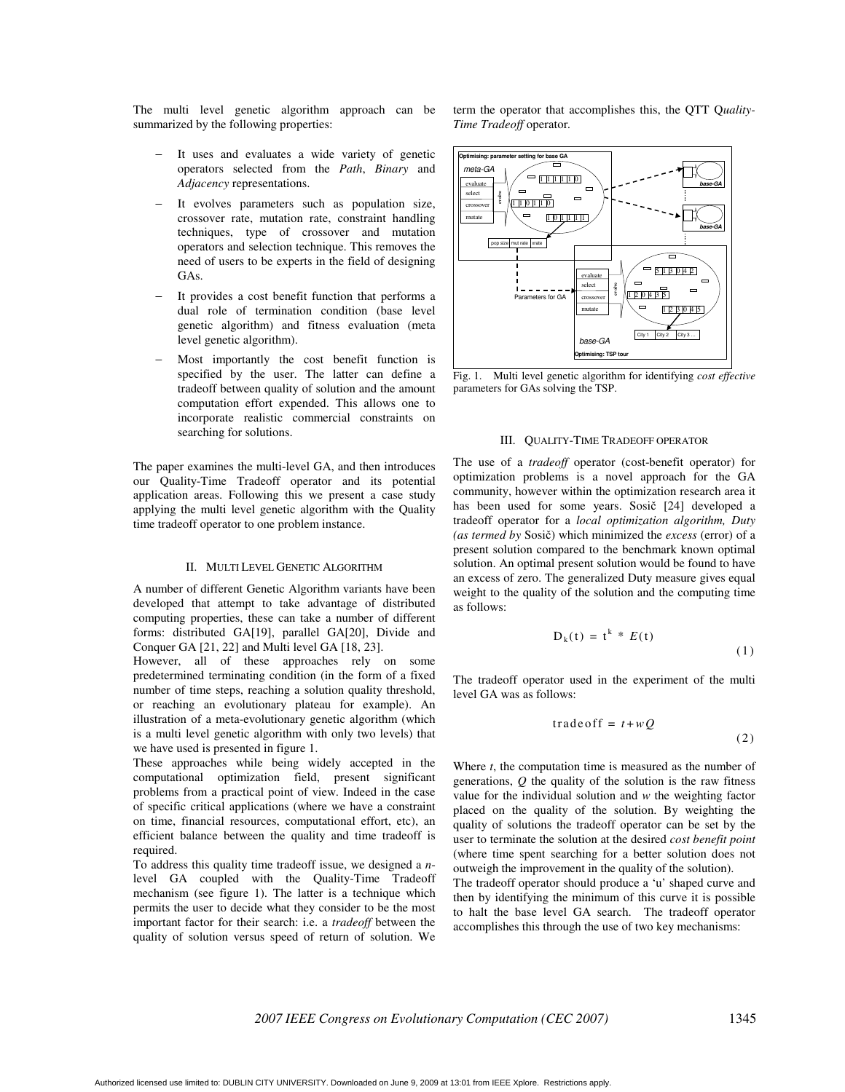The multi level genetic algorithm approach can be summarized by the following properties:

- It uses and evaluates a wide variety of genetic operators selected from the *Path*, *Binary* and *Adjacency* representations.
- It evolves parameters such as population size, crossover rate, mutation rate, constraint handling techniques, type of crossover and mutation operators and selection technique. This removes the need of users to be experts in the field of designing GAs.
- It provides a cost benefit function that performs a dual role of termination condition (base level genetic algorithm) and fitness evaluation (meta level genetic algorithm).
- Most importantly the cost benefit function is specified by the user. The latter can define a tradeoff between quality of solution and the amount computation effort expended. This allows one to incorporate realistic commercial constraints on searching for solutions.

The paper examines the multi-level GA, and then introduces our Quality-Time Tradeoff operator and its potential application areas. Following this we present a case study applying the multi level genetic algorithm with the Quality time tradeoff operator to one problem instance.

#### II. MULTI LEVEL GENETIC ALGORITHM

A number of different Genetic Algorithm variants have been developed that attempt to take advantage of distributed computing properties, these can take a number of different forms: distributed GA[19], parallel GA[20], Divide and Conquer GA [21, 22] and Multi level GA [18, 23].

However, all of these approaches rely on some predetermined terminating condition (in the form of a fixed number of time steps, reaching a solution quality threshold, or reaching an evolutionary plateau for example). An illustration of a meta-evolutionary genetic algorithm (which is a multi level genetic algorithm with only two levels) that we have used is presented in figure 1.

These approaches while being widely accepted in the computational optimization field, present significant problems from a practical point of view. Indeed in the case of specific critical applications (where we have a constraint on time, financial resources, computational effort, etc), an efficient balance between the quality and time tradeoff is required.

To address this quality time tradeoff issue, we designed a *n*level GA coupled with the Quality-Time Tradeoff mechanism (see figure 1). The latter is a technique which permits the user to decide what they consider to be the most important factor for their search: i.e. a *tradeoff* between the quality of solution versus speed of return of solution. We

term the operator that accomplishes this, the QTT Q*uality-Time Tradeoff* operator*.*



Fig. 1. Multi level genetic algorithm for identifying *cost effective* parameters for GAs solving the TSP.

## III. QUALITY-TIME TRADEOFF OPERATOR

The use of a *tradeoff* operator (cost-benefit operator) for optimization problems is a novel approach for the GA community, however within the optimization research area it has been used for some years. Sosič [24] developed a tradeoff operator for a *local optimization algorithm, Duty*  (as termed by Sosič) which minimized the *excess* (error) of a present solution compared to the benchmark known optimal solution. An optimal present solution would be found to have an excess of zero. The generalized Duty measure gives equal weight to the quality of the solution and the computing time as follows:

$$
D_k(t) = t^k * E(t)
$$
\n(1)

The tradeoff operator used in the experiment of the multi level GA was as follows:

$$
tradeoff = t + wQ
$$
\n(2)

Where *t*, the computation time is measured as the number of generations, *Q* the quality of the solution is the raw fitness value for the individual solution and *w* the weighting factor placed on the quality of the solution. By weighting the quality of solutions the tradeoff operator can be set by the user to terminate the solution at the desired *cost benefit point* (where time spent searching for a better solution does not outweigh the improvement in the quality of the solution).

The tradeoff operator should produce a 'u' shaped curve and then by identifying the minimum of this curve it is possible to halt the base level GA search. The tradeoff operator accomplishes this through the use of two key mechanisms:

*2007 IEEE Congress on Evolutionary Computation (CEC 2007)* 1345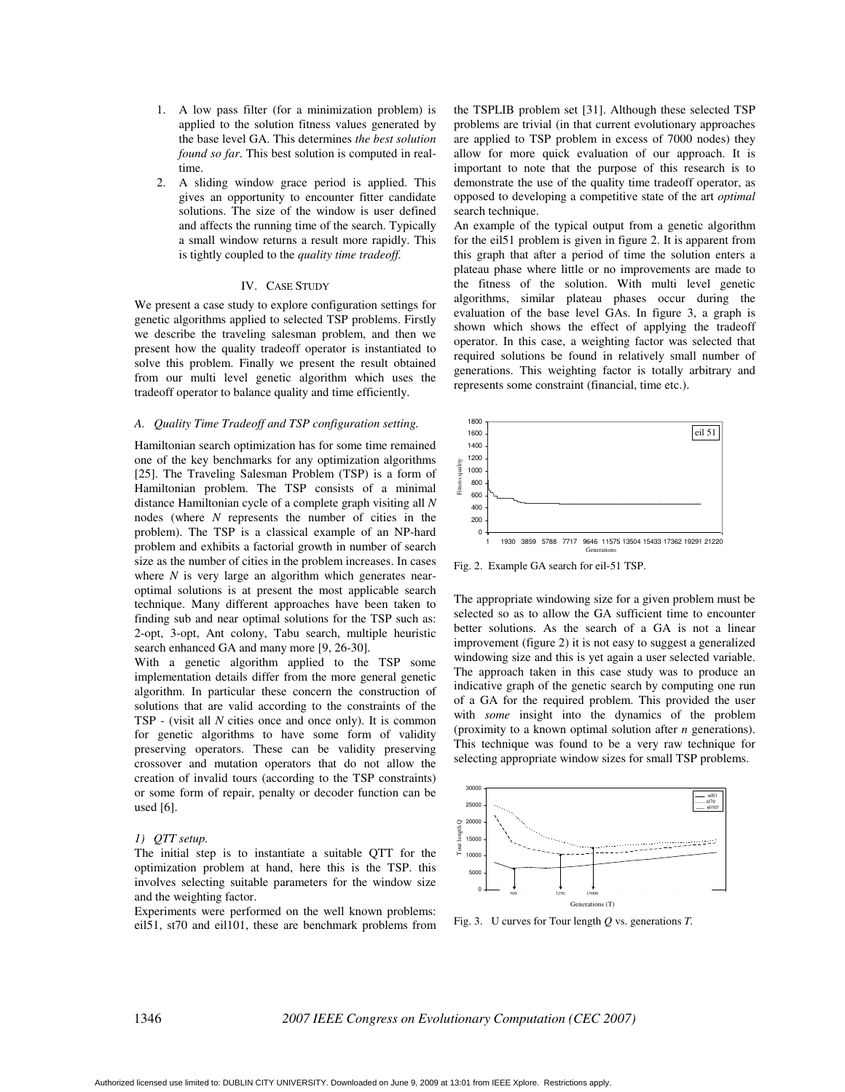- 1. A low pass filter (for a minimization problem) is applied to the solution fitness values generated by the base level GA. This determines *the best solution found so far*. This best solution is computed in realtime.
- 2. A sliding window grace period is applied. This gives an opportunity to encounter fitter candidate solutions. The size of the window is user defined and affects the running time of the search. Typically a small window returns a result more rapidly. This is tightly coupled to the *quality time tradeoff.*

## IV. CASE STUDY

We present a case study to explore configuration settings for genetic algorithms applied to selected TSP problems. Firstly we describe the traveling salesman problem, and then we present how the quality tradeoff operator is instantiated to solve this problem. Finally we present the result obtained from our multi level genetic algorithm which uses the tradeoff operator to balance quality and time efficiently.

## *A. Quality Time Tradeoff and TSP configuration setting.*

Hamiltonian search optimization has for some time remained one of the key benchmarks for any optimization algorithms [25]. The Traveling Salesman Problem (TSP) is a form of Hamiltonian problem. The TSP consists of a minimal distance Hamiltonian cycle of a complete graph visiting all *N* nodes (where *N* represents the number of cities in the problem). The TSP is a classical example of an NP-hard problem and exhibits a factorial growth in number of search size as the number of cities in the problem increases. In cases where *N* is very large an algorithm which generates nearoptimal solutions is at present the most applicable search technique. Many different approaches have been taken to finding sub and near optimal solutions for the TSP such as: 2-opt, 3-opt, Ant colony, Tabu search, multiple heuristic search enhanced GA and many more [9, 26-30].

With a genetic algorithm applied to the TSP some implementation details differ from the more general genetic algorithm. In particular these concern the construction of solutions that are valid according to the constraints of the TSP - (visit all *N* cities once and once only). It is common for genetic algorithms to have some form of validity preserving operators. These can be validity preserving crossover and mutation operators that do not allow the creation of invalid tours (according to the TSP constraints) or some form of repair, penalty or decoder function can be used [6].

#### *1) QTT setup.*

The initial step is to instantiate a suitable QTT for the optimization problem at hand, here this is the TSP. this involves selecting suitable parameters for the window size and the weighting factor.

Experiments were performed on the well known problems: eil51, st70 and eil101, these are benchmark problems from the TSPLIB problem set [31]. Although these selected TSP problems are trivial (in that current evolutionary approaches are applied to TSP problem in excess of 7000 nodes) they allow for more quick evaluation of our approach. It is important to note that the purpose of this research is to demonstrate the use of the quality time tradeoff operator, as opposed to developing a competitive state of the art *optimal* search technique.

An example of the typical output from a genetic algorithm for the eil51 problem is given in figure 2. It is apparent from this graph that after a period of time the solution enters a plateau phase where little or no improvements are made to the fitness of the solution. With multi level genetic algorithms, similar plateau phases occur during the evaluation of the base level GAs. In figure 3, a graph is shown which shows the effect of applying the tradeoff operator. In this case, a weighting factor was selected that required solutions be found in relatively small number of generations. This weighting factor is totally arbitrary and represents some constraint (financial, time etc.).



Fig. 2. Example GA search for eil-51 TSP.

The appropriate windowing size for a given problem must be selected so as to allow the GA sufficient time to encounter better solutions. As the search of a GA is not a linear improvement (figure 2) it is not easy to suggest a generalized windowing size and this is yet again a user selected variable. The approach taken in this case study was to produce an indicative graph of the genetic search by computing one run of a GA for the required problem. This provided the user with *some* insight into the dynamics of the problem (proximity to a known optimal solution after *n* generations). This technique was found to be a very raw technique for selecting appropriate window sizes for small TSP problems.

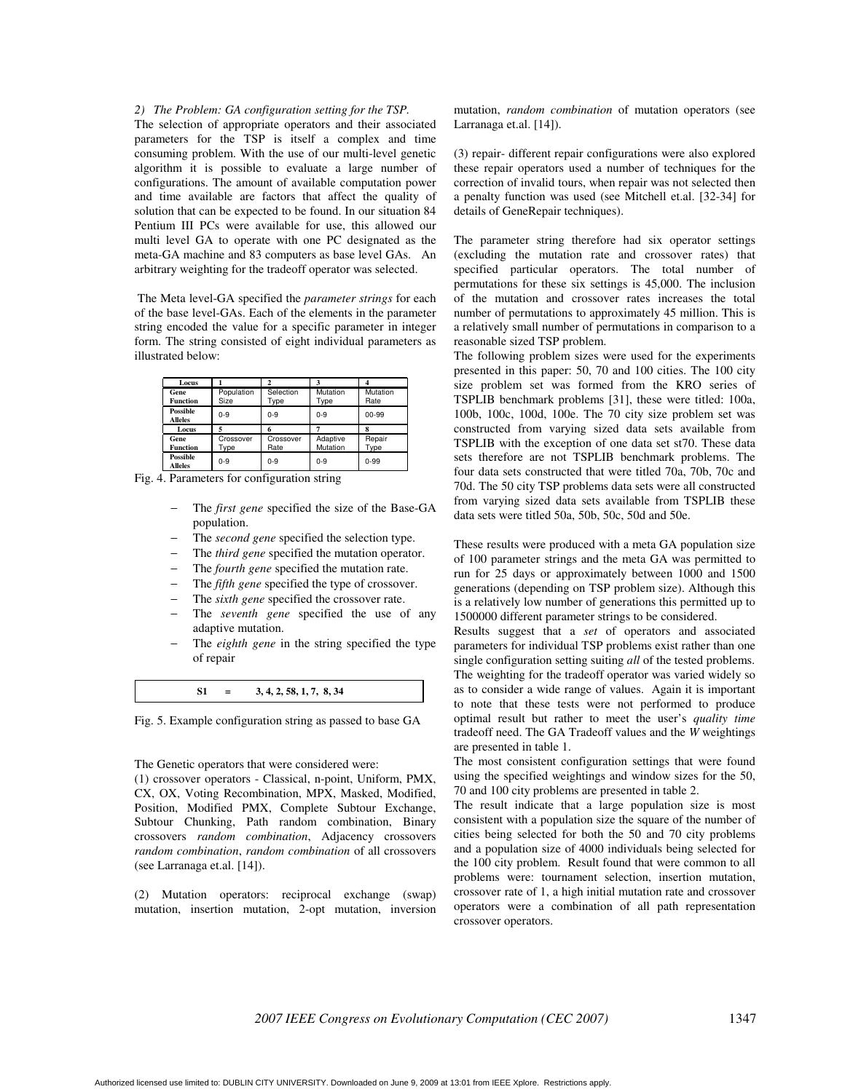#### *2) The Problem: GA configuration setting for the TSP.*

The selection of appropriate operators and their associated parameters for the TSP is itself a complex and time consuming problem. With the use of our multi-level genetic algorithm it is possible to evaluate a large number of configurations. The amount of available computation power and time available are factors that affect the quality of solution that can be expected to be found. In our situation 84 Pentium III PCs were available for use, this allowed our multi level GA to operate with one PC designated as the meta-GA machine and 83 computers as base level GAs. An arbitrary weighting for the tradeoff operator was selected.

 The Meta level-GA specified the *parameter strings* for each of the base level-GAs. Each of the elements in the parameter string encoded the value for a specific parameter in integer form. The string consisted of eight individual parameters as illustrated below:

| Locus                   |                    |                   |                  |                  |
|-------------------------|--------------------|-------------------|------------------|------------------|
| Gene<br><b>Function</b> | Population<br>Size | Selection<br>Type | Mutation<br>Type | Mutation<br>Rate |
|                         |                    |                   |                  |                  |
| <b>Possible</b>         | $0 - 9$            | $0 - 9$           | $0 - 9$          | $00 - 99$        |
| <b>Alleles</b>          |                    |                   |                  |                  |
|                         |                    |                   |                  |                  |
| Locus                   |                    |                   |                  |                  |
| Gene                    | Crossover          | Crossover         | Adaptive         | Repair           |
| <b>Function</b>         | Type               | Rate              | Mutation         | Type             |

Fig. 4. Parameters for configuration string

- The *first gene* specified the size of the Base-GA population.
- The *second gene* specified the selection type.
- The *third gene* specified the mutation operator.
- The *fourth gene* specified the mutation rate.
- The *fifth gene* specified the type of crossover.
- The *sixth gene* specified the crossover rate.
- The *seventh gene* specified the use of any adaptive mutation.
- The *eighth gene* in the string specified the type of repair

|  | 3, 4, 2, 58, 1, 7, 8, 34 |
|--|--------------------------|
|--|--------------------------|

Fig. 5. Example configuration string as passed to base GA

The Genetic operators that were considered were:

(1) crossover operators - Classical, n-point, Uniform, PMX, CX, OX, Voting Recombination, MPX, Masked, Modified, Position, Modified PMX, Complete Subtour Exchange, Subtour Chunking, Path random combination, Binary crossovers *random combination*, Adjacency crossovers *random combination*, *random combination* of all crossovers (see Larranaga et.al. [14]).

(2) Mutation operators: reciprocal exchange (swap) mutation, insertion mutation, 2-opt mutation, inversion mutation, *random combination* of mutation operators (see Larranaga et.al. [14]).

(3) repair- different repair configurations were also explored these repair operators used a number of techniques for the correction of invalid tours, when repair was not selected then a penalty function was used (see Mitchell et.al. [32-34] for details of GeneRepair techniques).

The parameter string therefore had six operator settings (excluding the mutation rate and crossover rates) that specified particular operators. The total number of permutations for these six settings is 45,000. The inclusion of the mutation and crossover rates increases the total number of permutations to approximately 45 million. This is a relatively small number of permutations in comparison to a reasonable sized TSP problem.

The following problem sizes were used for the experiments presented in this paper: 50, 70 and 100 cities. The 100 city size problem set was formed from the KRO series of TSPLIB benchmark problems [31], these were titled: 100a, 100b, 100c, 100d, 100e. The 70 city size problem set was constructed from varying sized data sets available from TSPLIB with the exception of one data set st70. These data sets therefore are not TSPLIB benchmark problems. The four data sets constructed that were titled 70a, 70b, 70c and 70d. The 50 city TSP problems data sets were all constructed from varying sized data sets available from TSPLIB these data sets were titled 50a, 50b, 50c, 50d and 50e.

These results were produced with a meta GA population size of 100 parameter strings and the meta GA was permitted to run for 25 days or approximately between 1000 and 1500 generations (depending on TSP problem size). Although this is a relatively low number of generations this permitted up to 1500000 different parameter strings to be considered.

Results suggest that a *set* of operators and associated parameters for individual TSP problems exist rather than one single configuration setting suiting *all* of the tested problems. The weighting for the tradeoff operator was varied widely so as to consider a wide range of values. Again it is important to note that these tests were not performed to produce optimal result but rather to meet the user's *quality time*  tradeoff need. The GA Tradeoff values and the *W* weightings are presented in table 1.

The most consistent configuration settings that were found using the specified weightings and window sizes for the 50, 70 and 100 city problems are presented in table 2.

The result indicate that a large population size is most consistent with a population size the square of the number of cities being selected for both the 50 and 70 city problems and a population size of 4000 individuals being selected for the 100 city problem. Result found that were common to all problems were: tournament selection, insertion mutation, crossover rate of 1, a high initial mutation rate and crossover operators were a combination of all path representation crossover operators.

*2007 IEEE Congress on Evolutionary Computation (CEC 2007)* 1347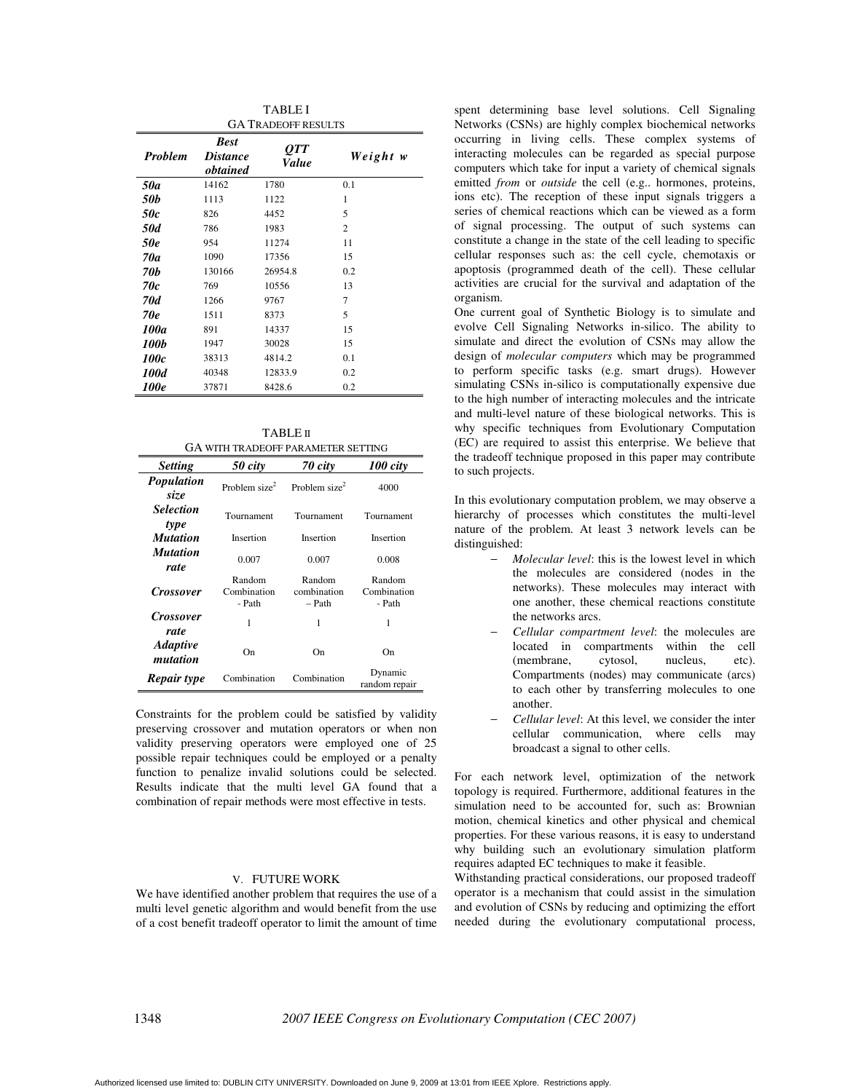| TABLEI                     |                                            |              |                |  |  |  |  |
|----------------------------|--------------------------------------------|--------------|----------------|--|--|--|--|
| <b>GA TRADEOFF RESULTS</b> |                                            |              |                |  |  |  |  |
| <b>Problem</b>             | <b>Best</b><br><i>Distance</i><br>obtained | 0TT<br>Value | Weight w       |  |  |  |  |
| 50a                        | 14162                                      | 1780         | 0.1            |  |  |  |  |
| 50b                        | 1113                                       | 1122         | 1              |  |  |  |  |
| 50c                        | 826                                        | 4452         | 5              |  |  |  |  |
| 50d                        | 786                                        | 1983         | $\overline{c}$ |  |  |  |  |
| 50e                        | 954                                        | 11274        | 11             |  |  |  |  |
| 70a                        | 1090                                       | 17356        | 15             |  |  |  |  |
| 70b                        | 130166                                     | 26954.8      | 0.2            |  |  |  |  |
| 70c                        | 769                                        | 10556        | 13             |  |  |  |  |
| 70d                        | 1266                                       | 9767         | 7              |  |  |  |  |
| <b>70e</b>                 | 1511                                       | 8373         | 5              |  |  |  |  |
| 100a                       | 891                                        | 14337        | 15             |  |  |  |  |
| 100b                       | 1947                                       | 30028        | 15             |  |  |  |  |
| 100c                       | 38313                                      | 4814.2       | 0.1            |  |  |  |  |
| 100d                       | 40348                                      | 12833.9      | 0.2            |  |  |  |  |
| 100e                       | 37871                                      | 8428.6       | 0.2            |  |  |  |  |

TABLE II GA WITH TRADEOFF PARAMETER SETTING

| <b>Setting</b>              | 50 city                         | 70 city                         | 100 city                        |
|-----------------------------|---------------------------------|---------------------------------|---------------------------------|
| Population<br>size          | Problem size $^2$               | Problem size $2$                | 4000                            |
| <b>Selection</b><br>type    | Tournament                      | Tournament                      | Tournament                      |
| <b>Mutation</b>             | Insertion                       | Insertion                       | Insertion                       |
| <i>Mutation</i><br>rate     | 0.007                           | 0.007                           | 0.008                           |
| Crossover                   | Random<br>Combination<br>- Path | Random<br>combination<br>– Path | Random<br>Combination<br>- Path |
| Crossover<br>rate           | 1                               | 1                               | 1                               |
| <b>Adaptive</b><br>mutation | On                              | On                              | On                              |
| Repair type                 | Combination                     | Combination                     | Dynamic<br>random repair        |

Constraints for the problem could be satisfied by validity preserving crossover and mutation operators or when non validity preserving operators were employed one of 25 possible repair techniques could be employed or a penalty function to penalize invalid solutions could be selected. Results indicate that the multi level GA found that a combination of repair methods were most effective in tests.

## V. FUTURE WORK

We have identified another problem that requires the use of a multi level genetic algorithm and would benefit from the use of a cost benefit tradeoff operator to limit the amount of time spent determining base level solutions. Cell Signaling Networks (CSNs) are highly complex biochemical networks occurring in living cells. These complex systems of interacting molecules can be regarded as special purpose computers which take for input a variety of chemical signals emitted *from* or *outside* the cell (e.g.. hormones, proteins, ions etc). The reception of these input signals triggers a series of chemical reactions which can be viewed as a form of signal processing. The output of such systems can constitute a change in the state of the cell leading to specific cellular responses such as: the cell cycle, chemotaxis or apoptosis (programmed death of the cell). These cellular activities are crucial for the survival and adaptation of the organism.

One current goal of Synthetic Biology is to simulate and evolve Cell Signaling Networks in-silico. The ability to simulate and direct the evolution of CSNs may allow the design of *molecular computers* which may be programmed to perform specific tasks (e.g. smart drugs). However simulating CSNs in-silico is computationally expensive due to the high number of interacting molecules and the intricate and multi-level nature of these biological networks. This is why specific techniques from Evolutionary Computation (EC) are required to assist this enterprise. We believe that the tradeoff technique proposed in this paper may contribute to such projects.

In this evolutionary computation problem, we may observe a hierarchy of processes which constitutes the multi-level nature of the problem. At least 3 network levels can be distinguished:

- *Molecular level*: this is the lowest level in which the molecules are considered (nodes in the networks). These molecules may interact with one another, these chemical reactions constitute the networks arcs.
- − *Cellular compartment level*: the molecules are located in compartments within the cell (membrane, cytosol, nucleus, etc). Compartments (nodes) may communicate (arcs) to each other by transferring molecules to one another.
- − *Cellular level*: At this level, we consider the inter cellular communication, where cells may broadcast a signal to other cells.

For each network level, optimization of the network topology is required. Furthermore, additional features in the simulation need to be accounted for, such as: Brownian motion, chemical kinetics and other physical and chemical properties. For these various reasons, it is easy to understand why building such an evolutionary simulation platform requires adapted EC techniques to make it feasible.

Withstanding practical considerations, our proposed tradeoff operator is a mechanism that could assist in the simulation and evolution of CSNs by reducing and optimizing the effort needed during the evolutionary computational process,

1348 *2007 IEEE Congress on Evolutionary Computation (CEC 2007)*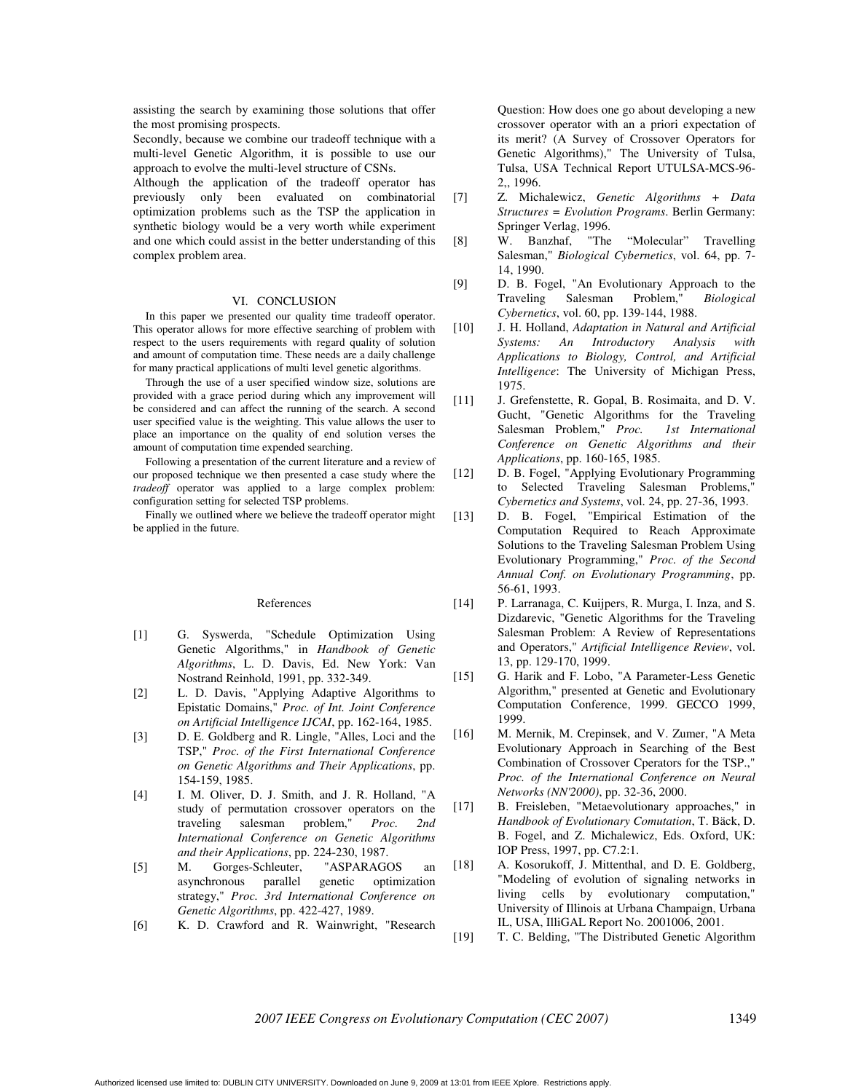assisting the search by examining those solutions that offer the most promising prospects.

Secondly, because we combine our tradeoff technique with a multi-level Genetic Algorithm, it is possible to use our approach to evolve the multi-level structure of CSNs.

Although the application of the tradeoff operator has previously only been evaluated on combinatorial optimization problems such as the TSP the application in synthetic biology would be a very worth while experiment and one which could assist in the better understanding of this complex problem area.

#### VI. CONCLUSION

In this paper we presented our quality time tradeoff operator. This operator allows for more effective searching of problem with respect to the users requirements with regard quality of solution and amount of computation time. These needs are a daily challenge for many practical applications of multi level genetic algorithms.

Through the use of a user specified window size, solutions are provided with a grace period during which any improvement will be considered and can affect the running of the search. A second user specified value is the weighting. This value allows the user to place an importance on the quality of end solution verses the amount of computation time expended searching.

Following a presentation of the current literature and a review of our proposed technique we then presented a case study where the *tradeoff* operator was applied to a large complex problem: configuration setting for selected TSP problems.

Finally we outlined where we believe the tradeoff operator might be applied in the future.

#### References

- [1] G. Syswerda, "Schedule Optimization Using Genetic Algorithms," in *Handbook of Genetic Algorithms*, L. D. Davis, Ed. New York: Van Nostrand Reinhold, 1991, pp. 332-349.
- [2] L. D. Davis, "Applying Adaptive Algorithms to Epistatic Domains," *Proc. of Int. Joint Conference on Artificial Intelligence IJCAI*, pp. 162-164, 1985.
- [3] D. E. Goldberg and R. Lingle, "Alles, Loci and the TSP," *Proc. of the First International Conference on Genetic Algorithms and Their Applications*, pp. 154-159, 1985.
- [4] I. M. Oliver, D. J. Smith, and J. R. Holland, "A study of permutation crossover operators on the traveling salesman problem," *Proc. 2nd International Conference on Genetic Algorithms and their Applications*, pp. 224-230, 1987.
- [5] M. Gorges-Schleuter, "ASPARAGOS an asynchronous parallel genetic optimization strategy," *Proc. 3rd International Conference on Genetic Algorithms*, pp. 422-427, 1989.
- [6] K. D. Crawford and R. Wainwright, "Research

Question: How does one go about developing a new crossover operator with an a priori expectation of its merit? (A Survey of Crossover Operators for Genetic Algorithms)," The University of Tulsa, Tulsa, USA Technical Report UTULSA-MCS-96- 2,, 1996.

- [7] Z. Michalewicz, *Genetic Algorithms + Data Structures = Evolution Programs*. Berlin Germany: Springer Verlag, 1996.
- [8] W. Banzhaf, "The "Molecular" Travelling Salesman," *Biological Cybernetics*, vol. 64, pp. 7- 14, 1990.
- [9] D. B. Fogel, "An Evolutionary Approach to the Traveling Salesman Problem," *Biological Cybernetics*, vol. 60, pp. 139-144, 1988.
- [10] J. H. Holland, *Adaptation in Natural and Artificial Systems: An Introductory Analysis with Applications to Biology, Control, and Artificial Intelligence*: The University of Michigan Press, 1975.
- [11] J. Grefenstette, R. Gopal, B. Rosimaita, and D. V. Gucht, "Genetic Algorithms for the Traveling Salesman Problem," *Proc. 1st International Conference on Genetic Algorithms and their Applications*, pp. 160-165, 1985.
- [12] D. B. Fogel, "Applying Evolutionary Programming to Selected Traveling Salesman Problems," *Cybernetics and Systems*, vol. 24, pp. 27-36, 1993.
- [13] D. B. Fogel, "Empirical Estimation of the Computation Required to Reach Approximate Solutions to the Traveling Salesman Problem Using Evolutionary Programming," *Proc. of the Second Annual Conf. on Evolutionary Programming*, pp. 56-61, 1993.
- [14] P. Larranaga, C. Kuijpers, R. Murga, I. Inza, and S. Dizdarevic, "Genetic Algorithms for the Traveling Salesman Problem: A Review of Representations and Operators," *Artificial Intelligence Review*, vol. 13, pp. 129-170, 1999.
- [15] G. Harik and F. Lobo, "A Parameter-Less Genetic Algorithm," presented at Genetic and Evolutionary Computation Conference, 1999. GECCO 1999, 1999.
- [16] M. Mernik, M. Crepinsek, and V. Zumer, "A Meta Evolutionary Approach in Searching of the Best Combination of Crossover Cperators for the TSP.," *Proc. of the International Conference on Neural Networks (NN'2000)*, pp. 32-36, 2000.
- [17] B. Freisleben, "Metaevolutionary approaches," in *Handbook of Evolutionary Comutation*, T. Bäck, D. B. Fogel, and Z. Michalewicz, Eds. Oxford, UK: IOP Press, 1997, pp. C7.2:1.
- [18] A. Kosorukoff, J. Mittenthal, and D. E. Goldberg, "Modeling of evolution of signaling networks in living cells by evolutionary computation," University of Illinois at Urbana Champaign, Urbana IL, USA, IlliGAL Report No. 2001006, 2001.
- [19] T. C. Belding, "The Distributed Genetic Algorithm

*2007 IEEE Congress on Evolutionary Computation (CEC 2007)* 1349